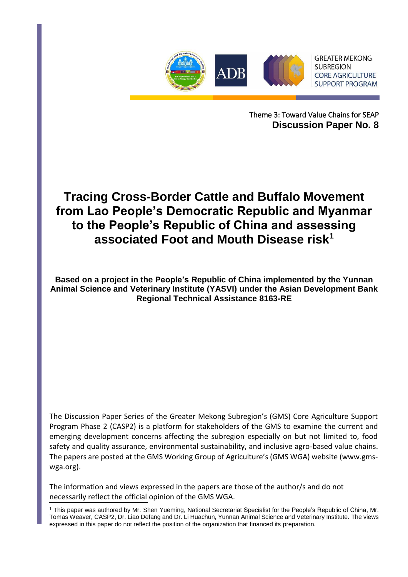

Theme 3: Toward Value Chains for SEAP **Discussion Paper No. 8**

# **Tracing Cross-Border Cattle and Buffalo Movement from Lao People's Democratic Republic and Myanmar to the People's Republic of China and assessing associated Foot and Mouth Disease risk<sup>1</sup>**

**Based on a project in the People's Republic of China implemented by the Yunnan Animal Science and Veterinary Institute (YASVI) under the Asian Development Bank Regional Technical Assistance 8163-RE**

The Discussion Paper Series of the Greater Mekong Subregion's (GMS) Core Agriculture Support Program Phase 2 (CASP2) is a platform for stakeholders of the GMS to examine the current and emerging development concerns affecting the subregion especially on but not limited to, food safety and quality assurance, environmental sustainability, and inclusive agro-based value chains. The papers are posted at the GMS Working Group of Agriculture's (GMS WGA) website (www.gmswga.org).

necessarily reflect the official opinion of the GMS WGA. The information and views expressed in the papers are those of the author/s and do not

<sup>&</sup>lt;sup>1</sup> This paper was authored by Mr. Shen Yueming, National Secretariat Specialist for the People's Republic of China, Mr. Tomas Weaver, CASP2, Dr. Liao Defang and Dr. Li Huachun, Yunnan Animal Science and Veterinary Institute. The views expressed in this paper do not reflect the position of the organization that financed its preparation.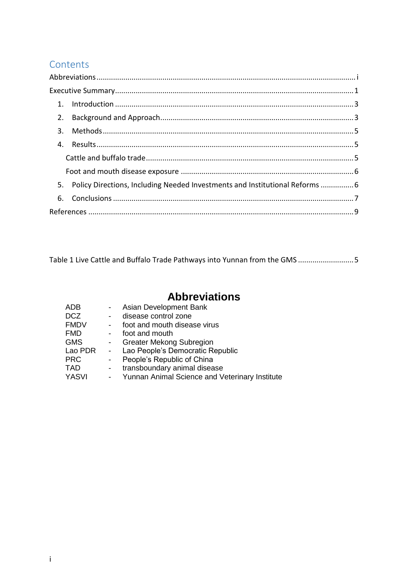## **Contents**

| 5. Policy Directions, Including Needed Investments and Institutional Reforms  6 |  |
|---------------------------------------------------------------------------------|--|
|                                                                                 |  |
|                                                                                 |  |

Table 1 Live Cattle and Buffalo Trade Pathways into Yunnan from the GMS ...........................5

# **Abbreviations**

<span id="page-1-0"></span>

| <b>ADB</b>   |            | Asian Development Bank                         |
|--------------|------------|------------------------------------------------|
| <b>DCZ</b>   |            | disease control zone                           |
| <b>FMDV</b>  |            | foot and mouth disease virus                   |
| <b>FMD</b>   |            | foot and mouth                                 |
| <b>GMS</b>   |            | <b>Greater Mekong Subregion</b>                |
| Lao PDR      |            | Lao People's Democratic Republic               |
| <b>PRC</b>   |            | People's Republic of China                     |
| <b>TAD</b>   |            | transboundary animal disease                   |
| <b>YASVI</b> | $\sim 100$ | Yunnan Animal Science and Veterinary Institute |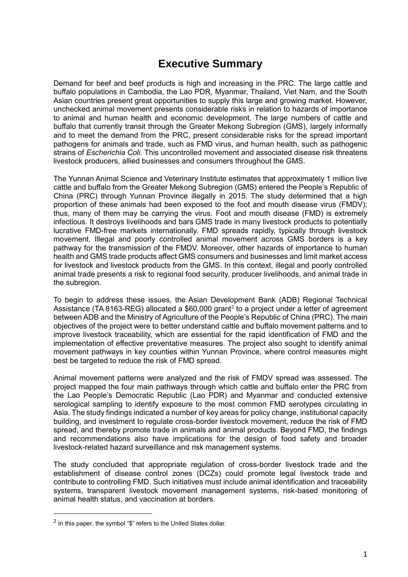# **Executive Summary**

<span id="page-2-0"></span>Demand for beef and beef products is high and increasing in the PRC. The large cattle and buffalo populations in Cambodia, the Lao PDR, Myanmar, Thailand, Viet Nam, and the South Asian countries present great opportunities to supply this large and growing market. However, unchecked animal movement presents considerable risks in relation to hazards of importance to animal and human health and economic development. The large numbers of cattle and buffalo that currently transit through the Greater Mekong Subregion (GMS), largely informally and to meet the demand from the PRC, present considerable risks for the spread important pathogens for animals and trade, such as FMD virus, and human health, such as pathogenic strains of *Escherichia Coli*. This uncontrolled movement and associated disease risk threatens livestock producers, allied businesses and consumers throughout the GMS.

The Yunnan Animal Science and Veterinary Institute estimates that approximately 1 million live cattle and buffalo from the Greater Mekong Subregion (GMS) entered the People's Republic of China (PRC) through Yunnan Province illegally in 2015. The study determined that a high proportion of these animals had been exposed to the foot and mouth disease virus (FMDV); thus, many of them may be carrying the virus. Foot and mouth disease (FMD) is extremely infectious. It destroys livelihoods and bars GMS trade in many livestock products to potentially lucrative FMD-free markets internationally. FMD spreads rapidly, typically through livestock movement. Illegal and poorly controlled animal movement across GMS borders is a key pathway for the transmission of the FMDV. Moreover, other hazards of importance to human health and GMS trade products affect GMS consumers and businesses and limit market access for livestock and livestock products from the GMS. In this context, illegal and poorly controlled animal trade presents a risk to regional food security, producer livelihoods, and animal trade in the subregion.

To begin to address these issues, the Asian Development Bank (ADB) Regional Technical Assistance (TA 8163-REG) allocated a \$60,000 grant<sup>2</sup> to a project under a letter of agreement between ADB and the Ministry of Agriculture of the People's Republic of China (PRC). The main objectives of the project were to better understand cattle and buffalo movement patterns and to improve livestock traceability, which are essential for the rapid identification of FMD and the implementation of effective preventative measures. The project also sought to identify animal movement pathways in key counties within Yunnan Province, where control measures might best be targeted to reduce the risk of FMD spread.

Animal movement patterns were analyzed and the risk of FMDV spread was assessed. The project mapped the four main pathways through which cattle and buffalo enter the PRC from the Lao People's Democratic Republic (Lao PDR) and Myanmar and conducted extensive serological sampling to identify exposure to the most common FMD serotypes circulating in Asia. The study findings indicated a number of key areas for policy change, institutional capacity building, and investment to regulate cross-border livestock movement, reduce the risk of FMD spread, and thereby promote trade in animals and animal products. Beyond FMD, the findings and recommendations also have implications for the design of food safety and broader livestock-related hazard surveillance and risk management systems.

The study concluded that appropriate regulation of cross-border livestock trade and the establishment of disease control zones (DCZs) could promote legal livestock trade and contribute to controlling FMD. Such initiatives must include animal identification and traceability systems, transparent livestock movement management systems, risk-based monitoring of animal health status, and vaccination at borders.

-

 $2$  In this paper, the symbol " $\sqrt[6]{ }$ " refers to the United States dollar.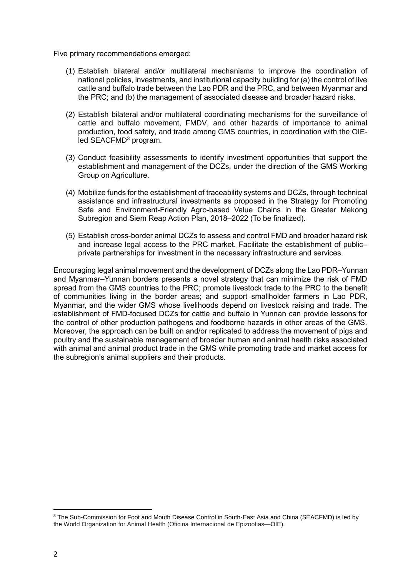Five primary recommendations emerged:

- (1) Establish bilateral and/or multilateral mechanisms to improve the coordination of national policies, investments, and institutional capacity building for (a) the control of live cattle and buffalo trade between the Lao PDR and the PRC, and between Myanmar and the PRC; and (b) the management of associated disease and broader hazard risks.
- (2) Establish bilateral and/or multilateral coordinating mechanisms for the surveillance of cattle and buffalo movement, FMDV, and other hazards of importance to animal production, food safety, and trade among GMS countries, in coordination with the OIEled SEACFMD<sup>3</sup> program.
- (3) Conduct feasibility assessments to identify investment opportunities that support the establishment and management of the DCZs, under the direction of the GMS Working Group on Agriculture.
- (4) Mobilize funds for the establishment of traceability systems and DCZs, through technical assistance and infrastructural investments as proposed in the Strategy for Promoting Safe and Environment-Friendly Agro-based Value Chains in the Greater Mekong Subregion and Siem Reap Action Plan, 2018–2022 (To be finalized).
- (5) Establish cross-border animal DCZs to assess and control FMD and broader hazard risk and increase legal access to the PRC market. Facilitate the establishment of public– private partnerships for investment in the necessary infrastructure and services.

Encouraging legal animal movement and the development of DCZs along the Lao PDR–Yunnan and Myanmar–Yunnan borders presents a novel strategy that can minimize the risk of FMD spread from the GMS countries to the PRC; promote livestock trade to the PRC to the benefit of communities living in the border areas; and support smallholder farmers in Lao PDR, Myanmar, and the wider GMS whose livelihoods depend on livestock raising and trade. The establishment of FMD-focused DCZs for cattle and buffalo in Yunnan can provide lessons for the control of other production pathogens and foodborne hazards in other areas of the GMS. Moreover, the approach can be built on and/or replicated to address the movement of pigs and poultry and the sustainable management of broader human and animal health risks associated with animal and animal product trade in the GMS while promoting trade and market access for the subregion's animal suppliers and their products.

-

<sup>3</sup> The Sub-Commission for Foot and Mouth Disease Control in South-East Asia and China (SEACFMD) is led by the World Organization for Animal Health (Oficina Internacional de Epizootias—OIE).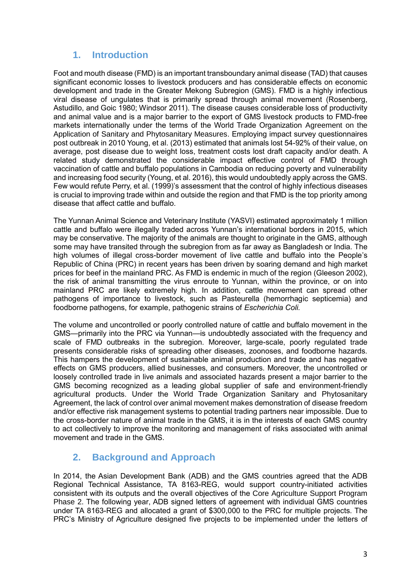### **1. Introduction**

<span id="page-4-0"></span>Foot and mouth disease (FMD) is an important transboundary animal disease (TAD) that causes significant economic losses to livestock producers and has considerable effects on economic development and trade in the Greater Mekong Subregion (GMS). FMD is a highly infectious viral disease of ungulates that is primarily spread through animal movement (Rosenberg, Astudillo, and Goic 1980; Windsor 2011). The disease causes considerable loss of productivity and animal value and is a major barrier to the export of GMS livestock products to FMD-free markets internationally under the terms of the World Trade Organization Agreement on the Application of Sanitary and Phytosanitary Measures. Employing impact survey questionnaires post outbreak in 2010 Young, et al. (2013) estimated that animals lost 54-92% of their value, on average, post disease due to weight loss, treatment costs lost draft capacity and/or death. A related study demonstrated the considerable impact effective control of FMD through vaccination of cattle and buffalo populations in Cambodia on reducing poverty and vulnerability and increasing food security (Young, et al. 2016), this would undoubtedly apply across the GMS. Few would refute Perry, et al. (1999)'s assessment that the control of highly infectious diseases is crucial to improving trade within and outside the region and that FMD is the top priority among disease that affect cattle and buffalo.

The Yunnan Animal Science and Veterinary Institute (YASVI) estimated approximately 1 million cattle and buffalo were illegally traded across Yunnan's international borders in 2015, which may be conservative. The majority of the animals are thought to originate in the GMS, although some may have transited through the subregion from as far away as Bangladesh or India. The high volumes of illegal cross-border movement of live cattle and buffalo into the People's Republic of China (PRC) in recent years has been driven by soaring demand and high market prices for beef in the mainland PRC. As FMD is endemic in much of the region (Gleeson 2002), the risk of animal transmitting the virus enroute to Yunnan, within the province, or on into mainland PRC are likely extremely high. In addition, cattle movement can spread other pathogens of importance to livestock, such as Pasteurella (hemorrhagic septicemia) and foodborne pathogens, for example, pathogenic strains of *Escherichia Coli.*

The volume and uncontrolled or poorly controlled nature of cattle and buffalo movement in the GMS—primarily into the PRC via Yunnan—is undoubtedly associated with the frequency and scale of FMD outbreaks in the subregion. Moreover, large-scale, poorly regulated trade presents considerable risks of spreading other diseases, zoonoses, and foodborne hazards. This hampers the development of sustainable animal production and trade and has negative effects on GMS producers, allied businesses, and consumers. Moreover, the uncontrolled or loosely controlled trade in live animals and associated hazards present a major barrier to the GMS becoming recognized as a leading global supplier of safe and environment-friendly agricultural products. Under the World Trade Organization Sanitary and Phytosanitary Agreement, the lack of control over animal movement makes demonstration of disease freedom and/or effective risk management systems to potential trading partners near impossible. Due to the cross-border nature of animal trade in the GMS, it is in the interests of each GMS country to act collectively to improve the monitoring and management of risks associated with animal movement and trade in the GMS.

### <span id="page-4-1"></span>**2. Background and Approach**

In 2014, the Asian Development Bank (ADB) and the GMS countries agreed that the ADB Regional Technical Assistance, TA 8163-REG, would support country-initiated activities consistent with its outputs and the overall objectives of the Core Agriculture Support Program Phase 2. The following year, ADB signed letters of agreement with individual GMS countries under TA 8163-REG and allocated a grant of \$300,000 to the PRC for multiple projects. The PRC's Ministry of Agriculture designed five projects to be implemented under the letters of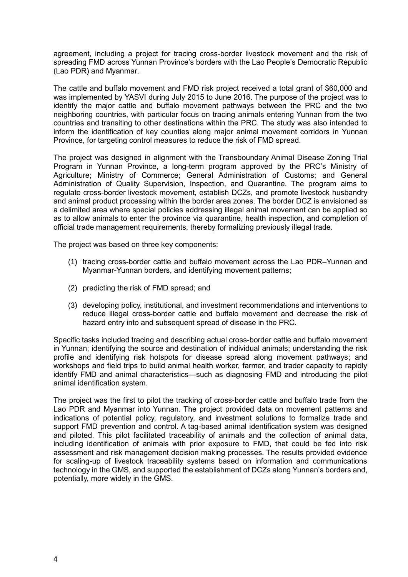agreement, including a project for tracing cross-border livestock movement and the risk of spreading FMD across Yunnan Province's borders with the Lao People's Democratic Republic (Lao PDR) and Myanmar.

The cattle and buffalo movement and FMD risk project received a total grant of \$60,000 and was implemented by YASVI during July 2015 to June 2016. The purpose of the project was to identify the major cattle and buffalo movement pathways between the PRC and the two neighboring countries, with particular focus on tracing animals entering Yunnan from the two countries and transiting to other destinations within the PRC. The study was also intended to inform the identification of key counties along major animal movement corridors in Yunnan Province, for targeting control measures to reduce the risk of FMD spread.

The project was designed in alignment with the Transboundary Animal Disease Zoning Trial Program in Yunnan Province, a long-term program approved by the PRC's Ministry of Agriculture; Ministry of Commerce; General Administration of Customs; and General Administration of Quality Supervision, Inspection, and Quarantine. The program aims to regulate cross-border livestock movement, establish DCZs, and promote livestock husbandry and animal product processing within the border area zones. The border DCZ is envisioned as a delimited area where special policies addressing illegal animal movement can be applied so as to allow animals to enter the province via quarantine, health inspection, and completion of official trade management requirements, thereby formalizing previously illegal trade.

The project was based on three key components:

- (1) tracing cross-border cattle and buffalo movement across the Lao PDR–Yunnan and Myanmar-Yunnan borders, and identifying movement patterns;
- (2) predicting the risk of FMD spread; and
- (3) developing policy, institutional, and investment recommendations and interventions to reduce illegal cross-border cattle and buffalo movement and decrease the risk of hazard entry into and subsequent spread of disease in the PRC.

Specific tasks included tracing and describing actual cross-border cattle and buffalo movement in Yunnan; identifying the source and destination of individual animals; understanding the risk profile and identifying risk hotspots for disease spread along movement pathways; and workshops and field trips to build animal health worker, farmer, and trader capacity to rapidly identify FMD and animal characteristics—such as diagnosing FMD and introducing the pilot animal identification system.

The project was the first to pilot the tracking of cross-border cattle and buffalo trade from the Lao PDR and Myanmar into Yunnan. The project provided data on movement patterns and indications of potential policy, regulatory, and investment solutions to formalize trade and support FMD prevention and control. A tag-based animal identification system was designed and piloted. This pilot facilitated traceability of animals and the collection of animal data, including identification of animals with prior exposure to FMD, that could be fed into risk assessment and risk management decision making processes. The results provided evidence for scaling-up of livestock traceability systems based on information and communications technology in the GMS, and supported the establishment of DCZs along Yunnan's borders and, potentially, more widely in the GMS.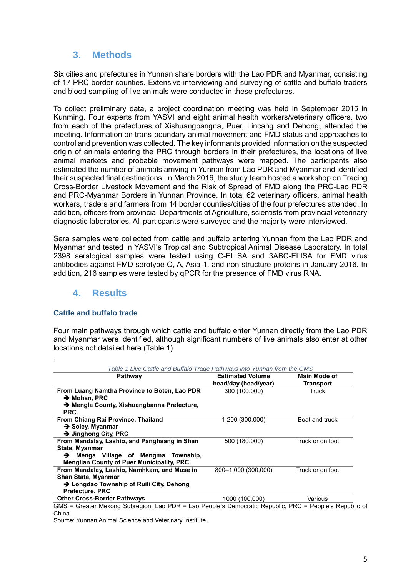### **3. Methods**

<span id="page-6-0"></span>Six cities and prefectures in Yunnan share borders with the Lao PDR and Myanmar, consisting of 17 PRC border counties. Extensive interviewing and surveying of cattle and buffalo traders and blood sampling of live animals were conducted in these prefectures.

To collect preliminary data, a project coordination meeting was held in September 2015 in Kunming. Four experts from YASVI and eight animal health workers/veterinary officers, two from each of the prefectures of Xishuangbangna, Puer, Lincang and Dehong, attended the meeting. Information on trans-boundary animal movement and FMD status and approaches to control and prevention was collected. The key informants provided information on the suspected origin of animals entering the PRC through borders in their prefectures, the locations of live animal markets and probable movement pathways were mapped. The participants also estimated the number of animals arriving in Yunnan from Lao PDR and Myanmar and identified their suspected final destinations. In March 2016, the study team hosted a workshop on Tracing Cross-Border Livestock Movement and the Risk of Spread of FMD along the PRC-Lao PDR and PRC-Myanmar Borders in Yunnan Province. In total 62 veterinary officers, animal health workers, traders and farmers from 14 border counties/cities of the four prefectures attended. In addition, officers from provincial Departments of Agriculture, scientists from provincial veterinary diagnostic laboratories. All particpants were surveyed and the majority were interviewed.

Sera samples were collected from cattle and buffalo entering Yunnan from the Lao PDR and Myanmar and tested in YASVI's Tropical and Subtropical Animal Disease Laboratory. In total 2398 seralogical samples were tested using C-ELISA and 3ABC-ELISA for FMD virus antibodies against FMD serotype O, A, Asia-1, and non-structure proteins in January 2016. In addition, 216 samples were tested by qPCR for the presence of FMD virus RNA.

### <span id="page-6-1"></span>**4. Results**

#### <span id="page-6-2"></span>**Cattle and buffalo trade**

.

Four main pathways through which cattle and buffalo enter Yunnan directly from the Lao PDR and Myanmar were identified, although significant numbers of live animals also enter at other locations not detailed here (Table 1).

| l able 1 Live Cattle and Buttalo Trade Pathways into Yunnan from the GMS<br>Pathway                    | <b>Estimated Volume</b> | Main Mode of     |
|--------------------------------------------------------------------------------------------------------|-------------------------|------------------|
|                                                                                                        | head/day (head/year)    | Transport        |
| From Luang Namtha Province to Boten, Lao PDR<br>$\rightarrow$ Mohan, PRC                               | 300 (100,000)           | Truck            |
| → Mengla County, Xishuangbanna Prefecture,<br>PRC.                                                     |                         |                  |
| From Chiang Rai Province, Thailand<br>$\rightarrow$ Soley, Myanmar<br>$\rightarrow$ Jinghong City, PRC | 1,200 (300,000)         | Boat and truck   |
| From Mandalay, Lashio, and Panghsang in Shan<br>State, Myanmar                                         | 500 (180,000)           | Truck or on foot |
| Menga Village of Mengma Township,<br>→<br><b>Menglian County of Puer Municipality, PRC.</b>            |                         |                  |
| From Mandalay, Lashio, Namhkam, and Muse in<br><b>Shan State, Myanmar</b>                              | 800-1,000 (300,000)     | Truck or on foot |
| → Longdao Township of Ruili City, Dehong<br><b>Prefecture, PRC</b>                                     |                         |                  |
| <b>Other Cross-Border Pathways</b>                                                                     | 1000 (100.000)          | Various          |

*Table 1 Live Cattle and Buffalo Trade Pathways into Yunnan from the GMS*

GMS = Greater Mekong Subregion, Lao PDR = Lao People's Democratic Republic, PRC = People's Republic of China.

Source: Yunnan Animal Science and Veterinary Institute.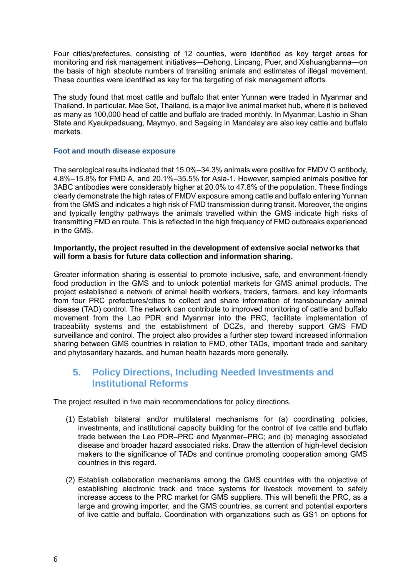Four cities/prefectures, consisting of 12 counties, were identified as key target areas for monitoring and risk management initiatives—Dehong, Lincang, Puer, and Xishuangbanna—on the basis of high absolute numbers of transiting animals and estimates of illegal movement. These counties were identified as key for the targeting of risk management efforts.

The study found that most cattle and buffalo that enter Yunnan were traded in Myanmar and Thailand. In particular, Mae Sot, Thailand, is a major live animal market hub, where it is believed as many as 100,000 head of cattle and buffalo are traded monthly. In Myanmar, Lashio in Shan State and Kyaukpadauang, Maymyo, and Sagaing in Mandalay are also key cattle and buffalo markets.

#### <span id="page-7-0"></span>**Foot and mouth disease exposure**

The serological results indicated that 15.0%–34.3% animals were positive for FMDV O antibody, 4.8%–15.8% for FMD A, and 20.1%–35.5% for Asia-1. However, sampled animals positive for 3ABC antibodies were considerably higher at 20.0% to 47.8% of the population. These findings clearly demonstrate the high rates of FMDV exposure among cattle and buffalo entering Yunnan from the GMS and indicates a high risk of FMD transmission during transit. Moreover, the origins and typically lengthy pathways the animals travelled within the GMS indicate high risks of transmitting FMD en route. This is reflected in the high frequency of FMD outbreaks experienced in the GMS.

#### **Importantly, the project resulted in the development of extensive social networks that will form a basis for future data collection and information sharing.**

Greater information sharing is essential to promote inclusive, safe, and environment-friendly food production in the GMS and to unlock potential markets for GMS animal products. The project established a network of animal health workers, traders, farmers, and key informants from four PRC prefectures/cities to collect and share information of transboundary animal disease (TAD) control. The network can contribute to improved monitoring of cattle and buffalo movement from the Lao PDR and Myanmar into the PRC, facilitate implementation of traceability systems and the establishment of DCZs, and thereby support GMS FMD surveillance and control. The project also provides a further step toward increased information sharing between GMS countries in relation to FMD, other TADs, important trade and sanitary and phytosanitary hazards, and human health hazards more generally.

### <span id="page-7-1"></span>**5. Policy Directions, Including Needed Investments and Institutional Reforms**

The project resulted in five main recommendations for policy directions.

- (1) Establish bilateral and/or multilateral mechanisms for (a) coordinating policies, investments, and institutional capacity building for the control of live cattle and buffalo trade between the Lao PDR–PRC and Myanmar–PRC; and (b) managing associated disease and broader hazard associated risks. Draw the attention of high-level decision makers to the significance of TADs and continue promoting cooperation among GMS countries in this regard.
- (2) Establish collaboration mechanisms among the GMS countries with the objective of establishing electronic track and trace systems for livestock movement to safely increase access to the PRC market for GMS suppliers. This will benefit the PRC, as a large and growing importer, and the GMS countries, as current and potential exporters of live cattle and buffalo. Coordination with organizations such as GS1 on options for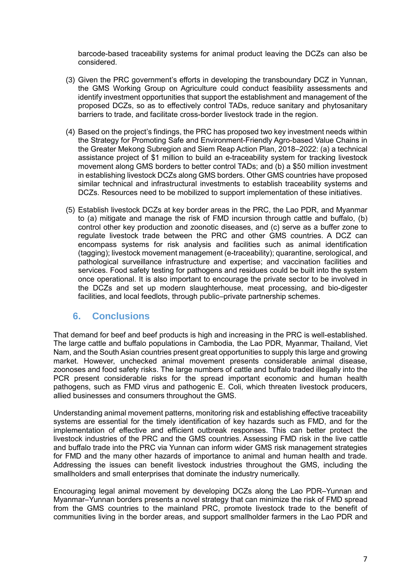barcode-based traceability systems for animal product leaving the DCZs can also be considered.

- (3) Given the PRC government's efforts in developing the transboundary DCZ in Yunnan, the GMS Working Group on Agriculture could conduct feasibility assessments and identify investment opportunities that support the establishment and management of the proposed DCZs, so as to effectively control TADs, reduce sanitary and phytosanitary barriers to trade, and facilitate cross-border livestock trade in the region.
- (4) Based on the project's findings, the PRC has proposed two key investment needs within the Strategy for Promoting Safe and Environment-Friendly Agro-based Value Chains in the Greater Mekong Subregion and Siem Reap Action Plan, 2018–2022: (a) a technical assistance project of \$1 million to build an e-traceability system for tracking livestock movement along GMS borders to better control TADs; and (b) a \$50 million investment in establishing livestock DCZs along GMS borders. Other GMS countries have proposed similar technical and infrastructural investments to establish traceability systems and DCZs. Resources need to be mobilized to support implementation of these initiatives.
- (5) Establish livestock DCZs at key border areas in the PRC, the Lao PDR, and Myanmar to (a) mitigate and manage the risk of FMD incursion through cattle and buffalo, (b) control other key production and zoonotic diseases, and (c) serve as a buffer zone to regulate livestock trade between the PRC and other GMS countries. A DCZ can encompass systems for risk analysis and facilities such as animal identification (tagging); livestock movement management (e-traceability); quarantine, serological, and pathological surveillance infrastructure and expertise; and vaccination facilities and services. Food safety testing for pathogens and residues could be built into the system once operational. It is also important to encourage the private sector to be involved in the DCZs and set up modern slaughterhouse, meat processing, and bio-digester facilities, and local feedlots, through public–private partnership schemes.

### <span id="page-8-0"></span>**6. Conclusions**

That demand for beef and beef products is high and increasing in the PRC is well-established. The large cattle and buffalo populations in Cambodia, the Lao PDR, Myanmar, Thailand, Viet Nam, and the South Asian countries present great opportunities to supply this large and growing market. However, unchecked animal movement presents considerable animal disease, zoonoses and food safety risks. The large numbers of cattle and buffalo traded illegally into the PCR present considerable risks for the spread important economic and human health pathogens, such as FMD virus and pathogenic E. Coli, which threaten livestock producers, allied businesses and consumers throughout the GMS.

Understanding animal movement patterns, monitoring risk and establishing effective traceability systems are essential for the timely identification of key hazards such as FMD, and for the implementation of effective and efficient outbreak responses. This can better protect the livestock industries of the PRC and the GMS countries. Assessing FMD risk in the live cattle and buffalo trade into the PRC via Yunnan can inform wider GMS risk management strategies for FMD and the many other hazards of importance to animal and human health and trade. Addressing the issues can benefit livestock industries throughout the GMS, including the smallholders and small enterprises that dominate the industry numerically.

Encouraging legal animal movement by developing DCZs along the Lao PDR–Yunnan and Myanmar–Yunnan borders presents a novel strategy that can minimize the risk of FMD spread from the GMS countries to the mainland PRC, promote livestock trade to the benefit of communities living in the border areas, and support smallholder farmers in the Lao PDR and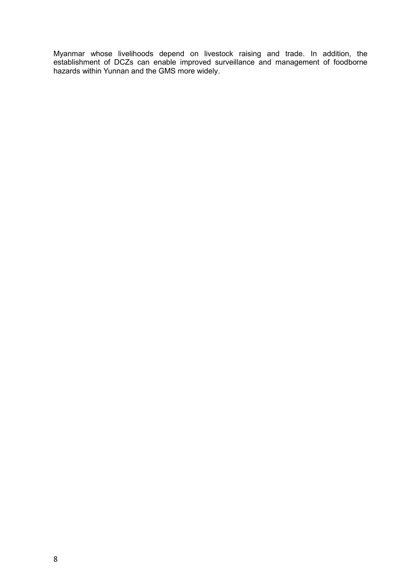Myanmar whose livelihoods depend on livestock raising and trade. In addition, the establishment of DCZs can enable improved surveillance and management of foodborne hazards within Yunnan and the GMS more widely.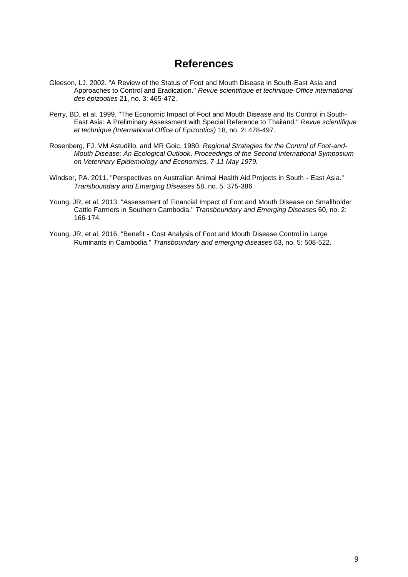### **References**

- <span id="page-10-0"></span>Gleeson, LJ. 2002. "A Review of the Status of Foot and Mouth Disease in South-East Asia and Approaches to Control and Eradication." *Revue scientifique et technique-Office international des épizooties* 21, no. 3: 465-472.
- Perry, BD, et al. 1999. "The Economic Impact of Foot and Mouth Disease and Its Control in South-East Asia: A Preliminary Assessment with Special Reference to Thailand." *Revue scientifique et technique (International Office of Epizootics)* 18, no. 2: 478-497.
- Rosenberg, FJ, VM Astudillo, and MR Goic. 1980. *Regional Strategies for the Control of Foot-and-Mouth Disease: An Ecological Outlook*. *Proceedings of the Second International Symposium on Veterinary Epidemiology and Economics, 7-11 May 1979.*
- Windsor, PA. 2011. "Perspectives on Australian Animal Health Aid Projects in South‐East Asia." *Transboundary and Emerging Diseases* 58, no. 5: 375-386.
- Young, JR, et al. 2013. "Assessment of Financial Impact of Foot and Mouth Disease on Smallholder Cattle Farmers in Southern Cambodia." *Transboundary and Emerging Diseases* 60, no. 2: 166-174.
- Young, JR, et al. 2016. "Benefit Cost Analysis of Foot and Mouth Disease Control in Large Ruminants in Cambodia." *Transboundary and emerging diseases* 63, no. 5: 508-522.